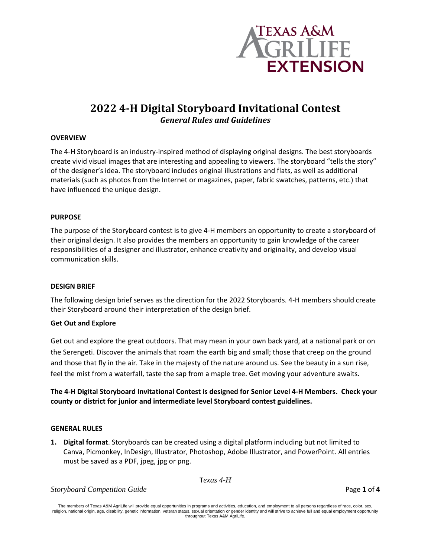

# **2022 4-H Digital Storyboard Invitational Contest**  *General Rules and Guidelines*

## **OVERVIEW**

The 4-H Storyboard is an industry-inspired method of displaying original designs. The best storyboards create vivid visual images that are interesting and appealing to viewers. The storyboard "tells the story" of the designer's idea. The storyboard includes original illustrations and flats, as well as additional materials (such as photos from the Internet or magazines, paper, fabric swatches, patterns, etc.) that have influenced the unique design.

## **PURPOSE**

The purpose of the Storyboard contest is to give 4-H members an opportunity to create a storyboard of their original design. It also provides the members an opportunity to gain knowledge of the career responsibilities of a designer and illustrator, enhance creativity and originality, and develop visual communication skills.

## **DESIGN BRIEF**

The following design brief serves as the direction for the 2022 Storyboards. 4-H members should create their Storyboard around their interpretation of the design brief.

#### **Get Out and Explore**

Get out and explore the great outdoors. That may mean in your own back yard, at a national park or on the Serengeti. Discover the animals that roam the earth big and small; those that creep on the ground and those that fly in the air. Take in the majesty of the nature around us. See the beauty in a sun rise, feel the mist from a waterfall, taste the sap from a maple tree. Get moving your adventure awaits.

# **The 4-H Digital Storyboard Invitational Contest is designed for Senior Level 4-H Members. Check your county or district for junior and intermediate level Storyboard contest guidelines.**

#### **GENERAL RULES**

**1. Digital format**. Storyboards can be created using a digital platform including but not limited to Canva, Picmonkey, InDesign, Illustrator, Photoshop, Adobe Illustrator, and PowerPoint. All entries must be saved as a PDF, jpeg, jpg or png.

T*exas 4-H* 

*Storyboard Competition Guide* Page **1** of **4**

The members of Texas A&M AgriLife will provide equal opportunities in programs and activities, education, and employment to all persons regardless of race, color, sex, religion, national origin, age, disability, genetic information, veteran status, sexual orientation or gender identity and will strive to achieve full and equal employment opportunity throughout Texas A&M AgriLife.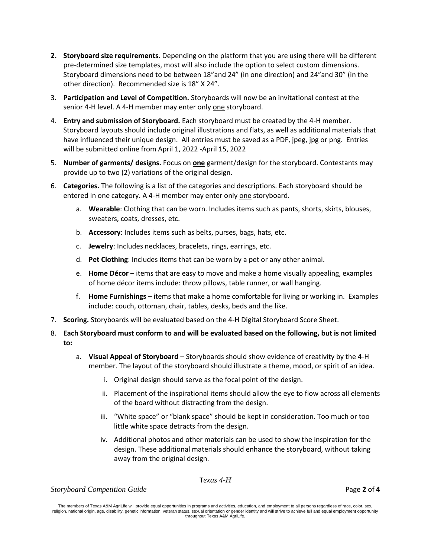- **2. Storyboard size requirements.** Depending on the platform that you are using there will be different pre-determined size templates, most will also include the option to select custom dimensions. Storyboard dimensions need to be between 18"and 24" (in one direction) and 24"and 30" (in the other direction). Recommended size is 18" X 24".
- 3. **Participation and Level of Competition.** Storyboards will now be an invitational contest at the senior 4-H level. A 4-H member may enter only one storyboard.
- 4. **Entry and submission of Storyboard.** Each storyboard must be created by the 4-H member. Storyboard layouts should include original illustrations and flats, as well as additional materials that have influenced their unique design. All entries must be saved as a PDF, jpeg, jpg or png. Entries will be submitted online from April 1, 2022 -April 15, 2022
- 5. **Number of garments/ designs.** Focus on **one** garment/design for the storyboard. Contestants may provide up to two (2) variations of the original design.
- 6. **Categories.** The following is a list of the categories and descriptions. Each storyboard should be entered in one category. A 4-H member may enter only one storyboard.
	- a. **Wearable**: Clothing that can be worn. Includes items such as pants, shorts, skirts, blouses, sweaters, coats, dresses, etc.
	- b. **Accessory**: Includes items such as belts, purses, bags, hats, etc.
	- c. **Jewelry**: Includes necklaces, bracelets, rings, earrings, etc.
	- d. **Pet Clothing**: Includes items that can be worn by a pet or any other animal.
	- e. **Home Décor**  items that are easy to move and make a home visually appealing, examples of home décor items include: throw pillows, table runner, or wall hanging.
	- f. **Home Furnishings**  items that make a home comfortable for living or working in. Examples include: couch, ottoman, chair, tables, desks, beds and the like.
- 7. **Scoring.** Storyboards will be evaluated based on the 4-H Digital Storyboard Score Sheet.
- 8. **Each Storyboard must conform to and will be evaluated based on the following, but is not limited to:**
	- a. **Visual Appeal of Storyboard** Storyboards should show evidence of creativity by the 4-H member. The layout of the storyboard should illustrate a theme, mood, or spirit of an idea.
		- i. Original design should serve as the focal point of the design.
		- ii. Placement of the inspirational items should allow the eye to flow across all elements of the board without distracting from the design.
		- iii. "White space" or "blank space" should be kept in consideration. Too much or too little white space detracts from the design.
		- iv. Additional photos and other materials can be used to show the inspiration for the design. These additional materials should enhance the storyboard, without taking away from the original design.

T*exas 4-H* 

*Storyboard Competition Guide* Page **2** of **4**

The members of Texas A&M AgriLife will provide equal opportunities in programs and activities, education, and employment to all persons regardless of race, color, sex, religion, national origin, age, disability, genetic information, veteran status, sexual orientation or gender identity and will strive to achieve full and equal employment opportunity throughout Texas A&M AgriLife.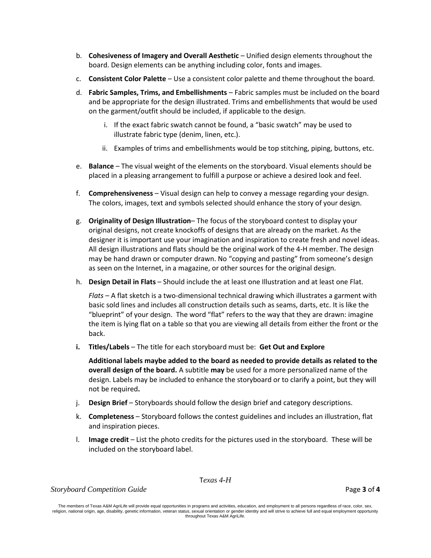- b. **Cohesiveness of Imagery and Overall Aesthetic**  Unified design elements throughout the board. Design elements can be anything including color, fonts and images.
- c. **Consistent Color Palette** Use a consistent color palette and theme throughout the board.
- d. **Fabric Samples, Trims, and Embellishments** Fabric samples must be included on the board and be appropriate for the design illustrated. Trims and embellishments that would be used on the garment/outfit should be included, if applicable to the design.
	- i. If the exact fabric swatch cannot be found, a "basic swatch" may be used to illustrate fabric type (denim, linen, etc.).
	- ii. Examples of trims and embellishments would be top stitching, piping, buttons, etc.
- e. **Balance** The visual weight of the elements on the storyboard. Visual elements should be placed in a pleasing arrangement to fulfill a purpose or achieve a desired look and feel.
- f. **Comprehensiveness**  Visual design can help to convey a message regarding your design. The colors, images, text and symbols selected should enhance the story of your design.
- g. **Originality of Design Illustration** The focus of the storyboard contest to display your original designs, not create knockoffs of designs that are already on the market. As the designer it is important use your imagination and inspiration to create fresh and novel ideas. All design illustrations and flats should be the original work of the 4-H member. The design may be hand drawn or computer drawn. No "copying and pasting" from someone's design as seen on the Internet, in a magazine, or other sources for the original design.
- h. **Design Detail in Flats** Should include the at least one Illustration and at least one Flat.

*Flats* – A flat sketch is a two-dimensional technical drawing which illustrates a garment with basic sold lines and includes all construction details such as seams, darts, etc. It is like the "blueprint" of your design. The word "flat" refers to the way that they are drawn: imagine the item is lying flat on a table so that you are viewing all details from either the front or the back.

**i. Titles/Labels** – The title for each storyboard must be: **Get Out and Explore**

**Additional labels maybe added to the board as needed to provide details as related to the overall design of the board.** A subtitle **may** be used for a more personalized name of the design. Labels may be included to enhance the storyboard or to clarify a point, but they will not be required**.** 

- j. **Design Brief** Storyboards should follow the design brief and category descriptions.
- k. **Completeness**  Storyboard follows the contest guidelines and includes an illustration, flat and inspiration pieces.
- l. **Image credit**  List the photo credits for the pictures used in the storyboard. These will be included on the storyboard label.

T*exas 4-H* 

*Storyboard Competition Guide* Page **3** of **4**

The members of Texas A&M AgriLife will provide equal opportunities in programs and activities, education, and employment to all persons regardless of race, color, sex, religion, national origin, age, disability, genetic information, veteran status, sexual orientation or gender identity and will strive to achieve full and equal employment opportunity throughout Texas A&M AgriLife.